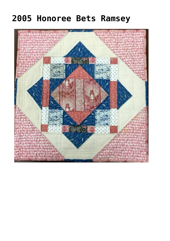## **[2005 Honoree Bets Ramsey](https://quiltershalloffame.net/2005-honoree-bets-ramsey/)**

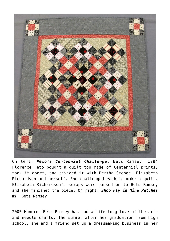

On left: *Peto's Centennial Challenge*, Bets Ramsey, 1994 Florence Peto bought a quilt top made of Centennial prints, took it apart, and divided it with Bertha Stenge, Elizabeth Richardson and herself. She challenged each to make a quilt. Elizabeth Richardson's scraps were passed on to Bets Ramsey and she finished the piece. On right: *Shoo Fly in Nine Patches #1*, Bets Ramsey.

2005 Honoree Bets Ramsey has had a life-long love of the arts and needle crafts. The summer after her graduation from high school, she and a friend set up a dressmaking business in her